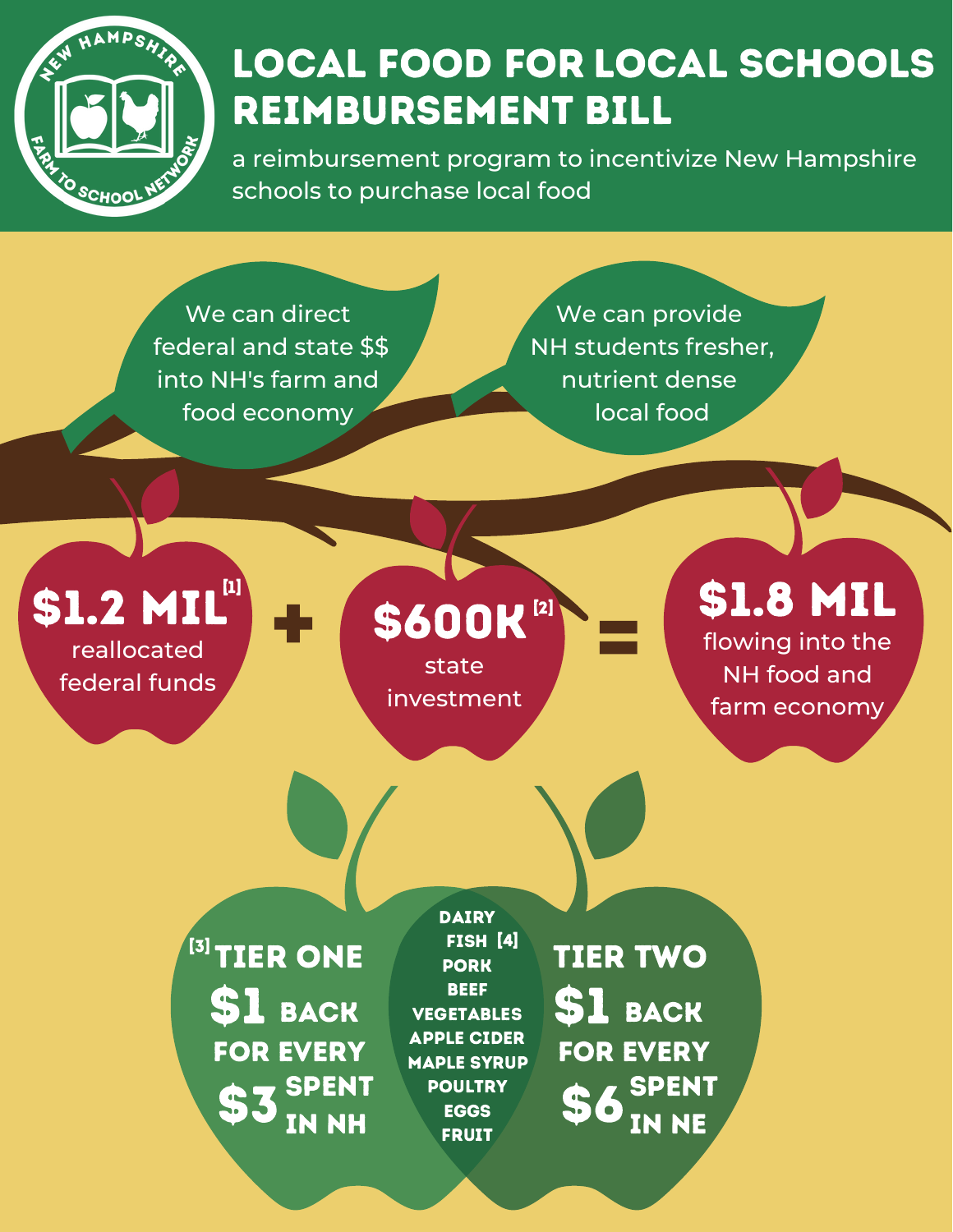

## LOCAL FOOD FOR LOCAL SCHOOLS Reimbursement Bill

a reimbursement program to incentivize New Hampshire schools to purchase local food